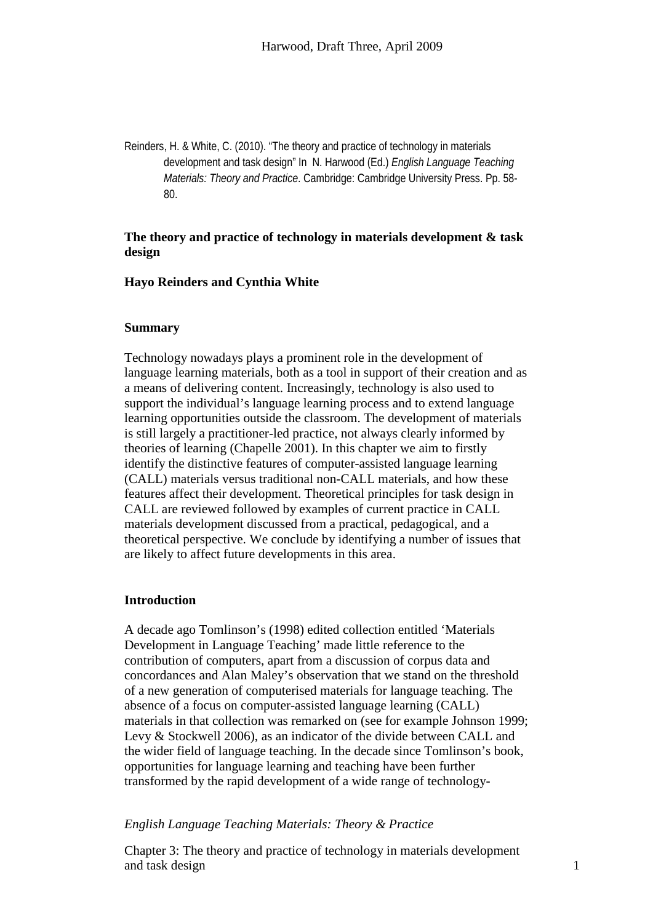Reinders, H. & White, C. (2010). "The theory and practice of technology in materials development and task design" In N. Harwood (Ed.) *English Language Teaching Materials: Theory and Practice*. Cambridge: Cambridge University Press. Pp. 58- 80.

# **The theory and practice of technology in materials development & task design**

## **Hayo Reinders and Cynthia White**

## **Summary**

Technology nowadays plays a prominent role in the development of language learning materials, both as a tool in support of their creation and as a means of delivering content. Increasingly, technology is also used to support the individual's language learning process and to extend language learning opportunities outside the classroom. The development of materials is still largely a practitioner-led practice, not always clearly informed by theories of learning (Chapelle 2001). In this chapter we aim to firstly identify the distinctive features of computer-assisted language learning (CALL) materials versus traditional non-CALL materials, and how these features affect their development. Theoretical principles for task design in CALL are reviewed followed by examples of current practice in CALL materials development discussed from a practical, pedagogical, and a theoretical perspective. We conclude by identifying a number of issues that are likely to affect future developments in this area.

# **Introduction**

A decade ago Tomlinson's (1998) edited collection entitled 'Materials Development in Language Teaching' made little reference to the contribution of computers, apart from a discussion of corpus data and concordances and Alan Maley's observation that we stand on the threshold of a new generation of computerised materials for language teaching. The absence of a focus on computer-assisted language learning (CALL) materials in that collection was remarked on (see for example Johnson 1999; Levy & Stockwell 2006), as an indicator of the divide between CALL and the wider field of language teaching. In the decade since Tomlinson's book, opportunities for language learning and teaching have been further transformed by the rapid development of a wide range of technology-

# *English Language Teaching Materials: Theory & Practice*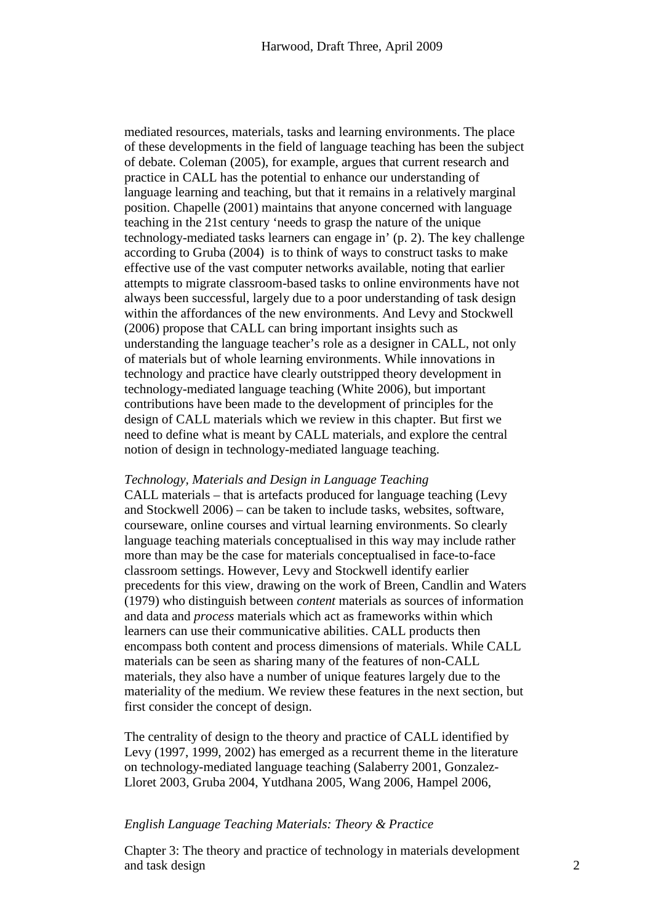mediated resources, materials, tasks and learning environments. The place of these developments in the field of language teaching has been the subject of debate. Coleman (2005), for example, argues that current research and practice in CALL has the potential to enhance our understanding of language learning and teaching, but that it remains in a relatively marginal position. Chapelle (2001) maintains that anyone concerned with language teaching in the 21st century 'needs to grasp the nature of the unique technology-mediated tasks learners can engage in' (p. 2). The key challenge according to Gruba (2004) is to think of ways to construct tasks to make effective use of the vast computer networks available, noting that earlier attempts to migrate classroom-based tasks to online environments have not always been successful, largely due to a poor understanding of task design within the affordances of the new environments. And Levy and Stockwell (2006) propose that CALL can bring important insights such as understanding the language teacher's role as a designer in CALL, not only of materials but of whole learning environments. While innovations in technology and practice have clearly outstripped theory development in technology-mediated language teaching (White 2006), but important contributions have been made to the development of principles for the design of CALL materials which we review in this chapter. But first we need to define what is meant by CALL materials, and explore the central notion of design in technology-mediated language teaching.

## *Technology, Materials and Design in Language Teaching*

CALL materials – that is artefacts produced for language teaching (Levy and Stockwell 2006) – can be taken to include tasks, websites, software, courseware, online courses and virtual learning environments. So clearly language teaching materials conceptualised in this way may include rather more than may be the case for materials conceptualised in face-to-face classroom settings. However, Levy and Stockwell identify earlier precedents for this view, drawing on the work of Breen, Candlin and Waters (1979) who distinguish between *content* materials as sources of information and data and *process* materials which act as frameworks within which learners can use their communicative abilities. CALL products then encompass both content and process dimensions of materials. While CALL materials can be seen as sharing many of the features of non-CALL materials, they also have a number of unique features largely due to the materiality of the medium. We review these features in the next section, but first consider the concept of design.

The centrality of design to the theory and practice of CALL identified by Levy (1997, 1999, 2002) has emerged as a recurrent theme in the literature on technology-mediated language teaching (Salaberry 2001, Gonzalez-Lloret 2003, Gruba 2004, Yutdhana 2005, Wang 2006, Hampel 2006,

# *English Language Teaching Materials: Theory & Practice*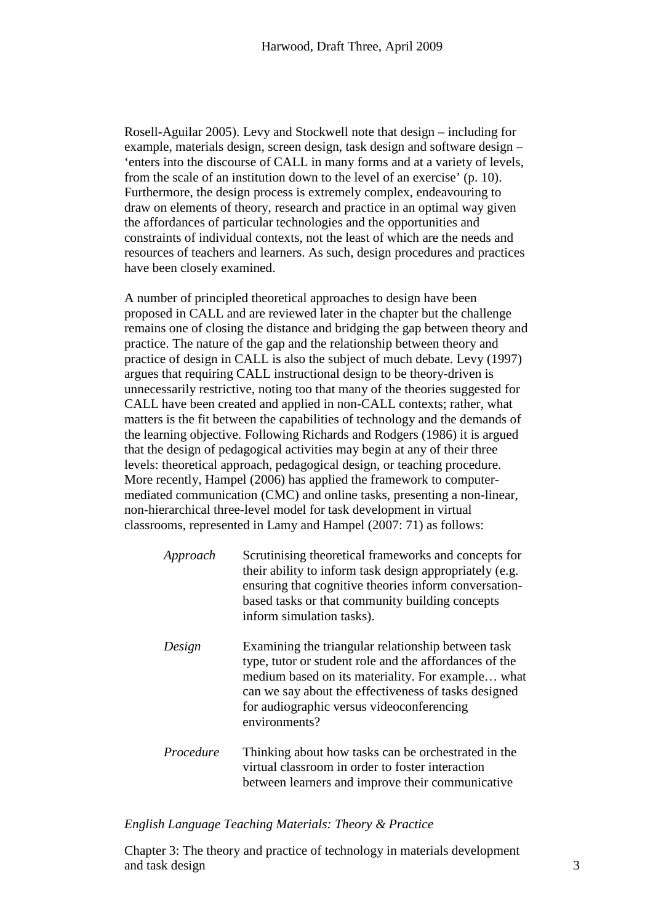Rosell-Aguilar 2005). Levy and Stockwell note that design – including for example, materials design, screen design, task design and software design – 'enters into the discourse of CALL in many forms and at a variety of levels, from the scale of an institution down to the level of an exercise' (p. 10). Furthermore, the design process is extremely complex, endeavouring to draw on elements of theory, research and practice in an optimal way given the affordances of particular technologies and the opportunities and constraints of individual contexts, not the least of which are the needs and resources of teachers and learners. As such, design procedures and practices have been closely examined.

A number of principled theoretical approaches to design have been proposed in CALL and are reviewed later in the chapter but the challenge remains one of closing the distance and bridging the gap between theory and practice. The nature of the gap and the relationship between theory and practice of design in CALL is also the subject of much debate. Levy (1997) argues that requiring CALL instructional design to be theory-driven is unnecessarily restrictive, noting too that many of the theories suggested for CALL have been created and applied in non-CALL contexts; rather, what matters is the fit between the capabilities of technology and the demands of the learning objective. Following Richards and Rodgers (1986) it is argued that the design of pedagogical activities may begin at any of their three levels: theoretical approach, pedagogical design, or teaching procedure. More recently, Hampel (2006) has applied the framework to computermediated communication (CMC) and online tasks, presenting a non-linear, non-hierarchical three-level model for task development in virtual classrooms, represented in Lamy and Hampel (2007: 71) as follows:

| Approach  | Scrutinising theoretical frameworks and concepts for<br>their ability to inform task design appropriately (e.g.<br>ensuring that cognitive theories inform conversation-<br>based tasks or that community building concepts<br>inform simulation tasks).                                |
|-----------|-----------------------------------------------------------------------------------------------------------------------------------------------------------------------------------------------------------------------------------------------------------------------------------------|
| Design    | Examining the triangular relationship between task<br>type, tutor or student role and the affordances of the<br>medium based on its materiality. For example what<br>can we say about the effectiveness of tasks designed<br>for audiographic versus videoconferencing<br>environments? |
| Procedure | Thinking about how tasks can be orchestrated in the<br>virtual classroom in order to foster interaction<br>between learners and improve their communicative                                                                                                                             |

## *English Language Teaching Materials: Theory & Practice*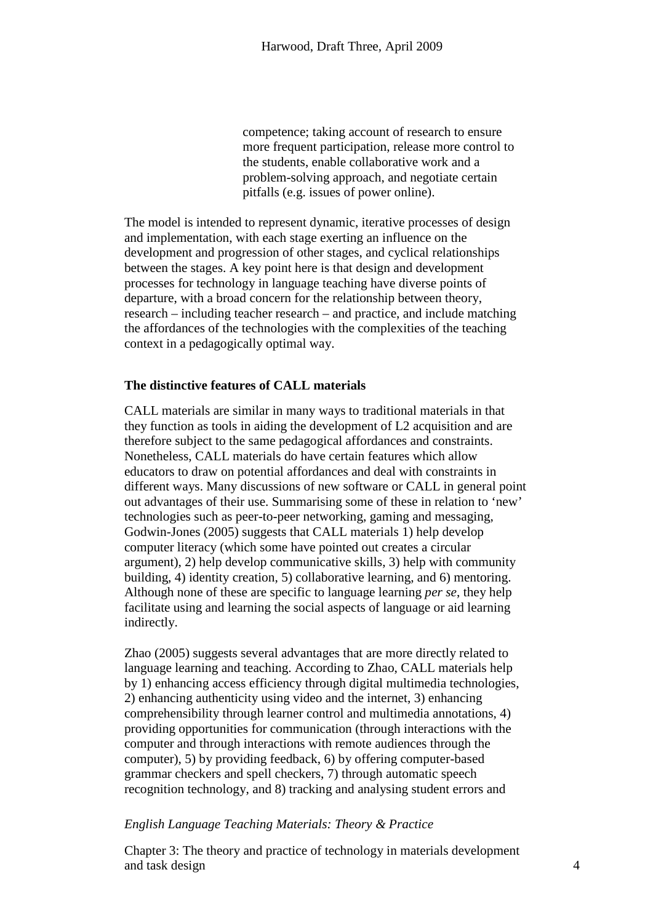competence; taking account of research to ensure more frequent participation, release more control to the students, enable collaborative work and a problem-solving approach, and negotiate certain pitfalls (e.g. issues of power online).

The model is intended to represent dynamic, iterative processes of design and implementation, with each stage exerting an influence on the development and progression of other stages, and cyclical relationships between the stages. A key point here is that design and development processes for technology in language teaching have diverse points of departure, with a broad concern for the relationship between theory, research – including teacher research – and practice, and include matching the affordances of the technologies with the complexities of the teaching context in a pedagogically optimal way.

# **The distinctive features of CALL materials**

CALL materials are similar in many ways to traditional materials in that they function as tools in aiding the development of L2 acquisition and are therefore subject to the same pedagogical affordances and constraints. Nonetheless, CALL materials do have certain features which allow educators to draw on potential affordances and deal with constraints in different ways. Many discussions of new software or CALL in general point out advantages of their use. Summarising some of these in relation to 'new' technologies such as peer-to-peer networking, gaming and messaging, Godwin-Jones (2005) suggests that CALL materials 1) help develop computer literacy (which some have pointed out creates a circular argument), 2) help develop communicative skills, 3) help with community building, 4) identity creation, 5) collaborative learning, and 6) mentoring. Although none of these are specific to language learning *per se*, they help facilitate using and learning the social aspects of language or aid learning indirectly.

Zhao (2005) suggests several advantages that are more directly related to language learning and teaching. According to Zhao, CALL materials help by 1) enhancing access efficiency through digital multimedia technologies, 2) enhancing authenticity using video and the internet, 3) enhancing comprehensibility through learner control and multimedia annotations, 4) providing opportunities for communication (through interactions with the computer and through interactions with remote audiences through the computer), 5) by providing feedback, 6) by offering computer-based grammar checkers and spell checkers, 7) through automatic speech recognition technology, and 8) tracking and analysing student errors and

# *English Language Teaching Materials: Theory & Practice*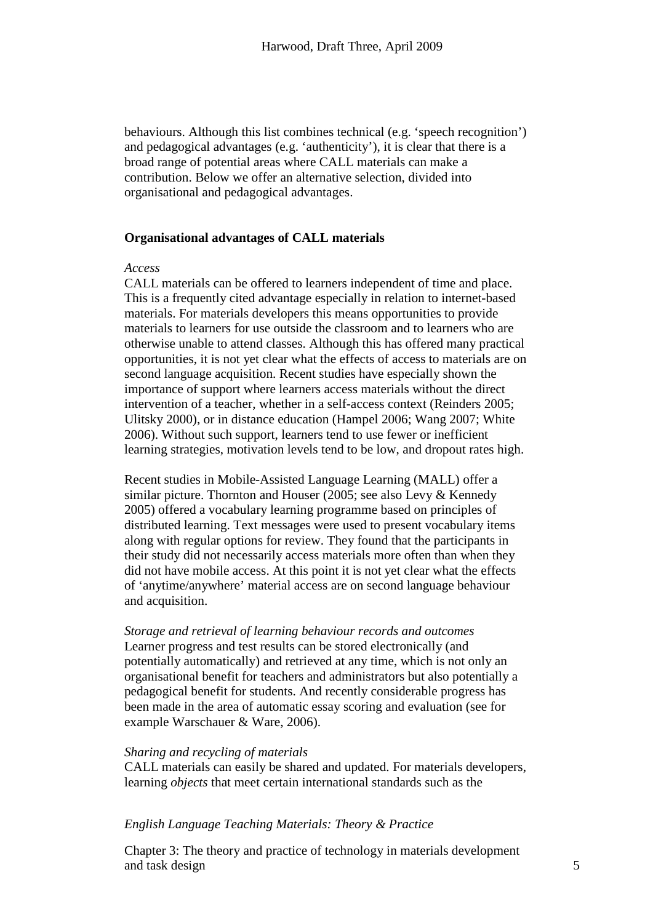behaviours. Although this list combines technical (e.g. 'speech recognition') and pedagogical advantages (e.g. 'authenticity'), it is clear that there is a broad range of potential areas where CALL materials can make a contribution. Below we offer an alternative selection, divided into organisational and pedagogical advantages.

## **Organisational advantages of CALL materials**

## *Access*

CALL materials can be offered to learners independent of time and place. This is a frequently cited advantage especially in relation to internet-based materials. For materials developers this means opportunities to provide materials to learners for use outside the classroom and to learners who are otherwise unable to attend classes. Although this has offered many practical opportunities, it is not yet clear what the effects of access to materials are on second language acquisition. Recent studies have especially shown the importance of support where learners access materials without the direct intervention of a teacher, whether in a self-access context (Reinders 2005; Ulitsky 2000), or in distance education (Hampel 2006; Wang 2007; White 2006). Without such support, learners tend to use fewer or inefficient learning strategies, motivation levels tend to be low, and dropout rates high.

Recent studies in Mobile-Assisted Language Learning (MALL) offer a similar picture. Thornton and Houser (2005; see also Levy & Kennedy 2005) offered a vocabulary learning programme based on principles of distributed learning. Text messages were used to present vocabulary items along with regular options for review. They found that the participants in their study did not necessarily access materials more often than when they did not have mobile access. At this point it is not yet clear what the effects of 'anytime/anywhere' material access are on second language behaviour and acquisition.

*Storage and retrieval of learning behaviour records and outcomes* Learner progress and test results can be stored electronically (and potentially automatically) and retrieved at any time, which is not only an organisational benefit for teachers and administrators but also potentially a pedagogical benefit for students. And recently considerable progress has been made in the area of automatic essay scoring and evaluation (see for example Warschauer & Ware, 2006).

## *Sharing and recycling of materials*

CALL materials can easily be shared and updated. For materials developers, learning *objects* that meet certain international standards such as the

# *English Language Teaching Materials: Theory & Practice*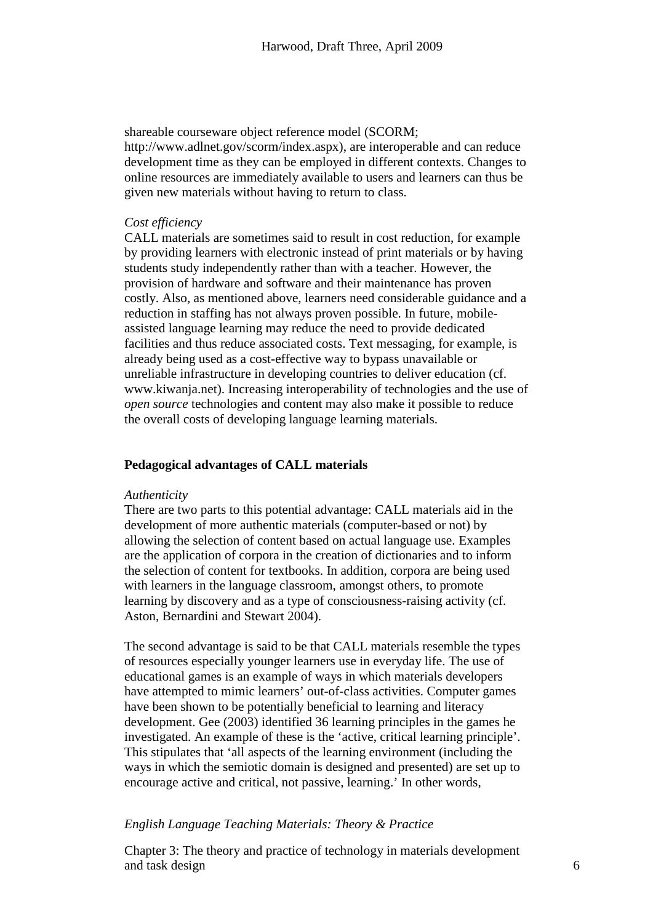shareable courseware object reference model (SCORM; http://www.adlnet.gov/scorm/index.aspx), are interoperable and can reduce development time as they can be employed in different contexts. Changes to online resources are immediately available to users and learners can thus be given new materials without having to return to class.

# *Cost efficiency*

CALL materials are sometimes said to result in cost reduction, for example by providing learners with electronic instead of print materials or by having students study independently rather than with a teacher. However, the provision of hardware and software and their maintenance has proven costly. Also, as mentioned above, learners need considerable guidance and a reduction in staffing has not always proven possible. In future, mobileassisted language learning may reduce the need to provide dedicated facilities and thus reduce associated costs. Text messaging, for example, is already being used as a cost-effective way to bypass unavailable or unreliable infrastructure in developing countries to deliver education (cf. www.kiwanja.net). Increasing interoperability of technologies and the use of *open source* technologies and content may also make it possible to reduce the overall costs of developing language learning materials.

# **Pedagogical advantages of CALL materials**

#### *Authenticity*

There are two parts to this potential advantage: CALL materials aid in the development of more authentic materials (computer-based or not) by allowing the selection of content based on actual language use. Examples are the application of corpora in the creation of dictionaries and to inform the selection of content for textbooks. In addition, corpora are being used with learners in the language classroom, amongst others, to promote learning by discovery and as a type of consciousness-raising activity (cf. Aston, Bernardini and Stewart 2004).

The second advantage is said to be that CALL materials resemble the types of resources especially younger learners use in everyday life. The use of educational games is an example of ways in which materials developers have attempted to mimic learners' out-of-class activities. Computer games have been shown to be potentially beneficial to learning and literacy development. Gee (2003) identified 36 learning principles in the games he investigated. An example of these is the 'active, critical learning principle'. This stipulates that 'all aspects of the learning environment (including the ways in which the semiotic domain is designed and presented) are set up to encourage active and critical, not passive, learning.' In other words,

# *English Language Teaching Materials: Theory & Practice*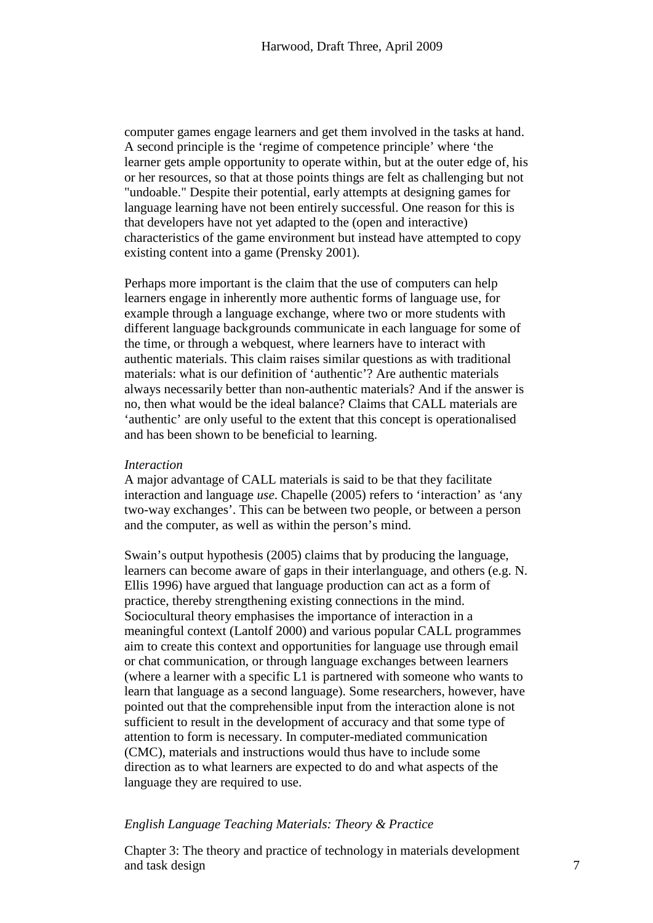computer games engage learners and get them involved in the tasks at hand. A second principle is the 'regime of competence principle' where 'the learner gets ample opportunity to operate within, but at the outer edge of, his or her resources, so that at those points things are felt as challenging but not "undoable." Despite their potential, early attempts at designing games for language learning have not been entirely successful. One reason for this is that developers have not yet adapted to the (open and interactive) characteristics of the game environment but instead have attempted to copy existing content into a game (Prensky 2001).

Perhaps more important is the claim that the use of computers can help learners engage in inherently more authentic forms of language use, for example through a language exchange, where two or more students with different language backgrounds communicate in each language for some of the time, or through a webquest, where learners have to interact with authentic materials. This claim raises similar questions as with traditional materials: what is our definition of 'authentic'? Are authentic materials always necessarily better than non-authentic materials? And if the answer is no, then what would be the ideal balance? Claims that CALL materials are 'authentic' are only useful to the extent that this concept is operationalised and has been shown to be beneficial to learning.

## *Interaction*

A major advantage of CALL materials is said to be that they facilitate interaction and language *use*. Chapelle (2005) refers to 'interaction' as 'any two-way exchanges'. This can be between two people, or between a person and the computer, as well as within the person's mind.

Swain's output hypothesis (2005) claims that by producing the language, learners can become aware of gaps in their interlanguage, and others (e.g. N. Ellis 1996) have argued that language production can act as a form of practice, thereby strengthening existing connections in the mind. Sociocultural theory emphasises the importance of interaction in a meaningful context (Lantolf 2000) and various popular CALL programmes aim to create this context and opportunities for language use through email or chat communication, or through language exchanges between learners (where a learner with a specific L1 is partnered with someone who wants to learn that language as a second language). Some researchers, however, have pointed out that the comprehensible input from the interaction alone is not sufficient to result in the development of accuracy and that some type of attention to form is necessary. In computer-mediated communication (CMC), materials and instructions would thus have to include some direction as to what learners are expected to do and what aspects of the language they are required to use.

# *English Language Teaching Materials: Theory & Practice*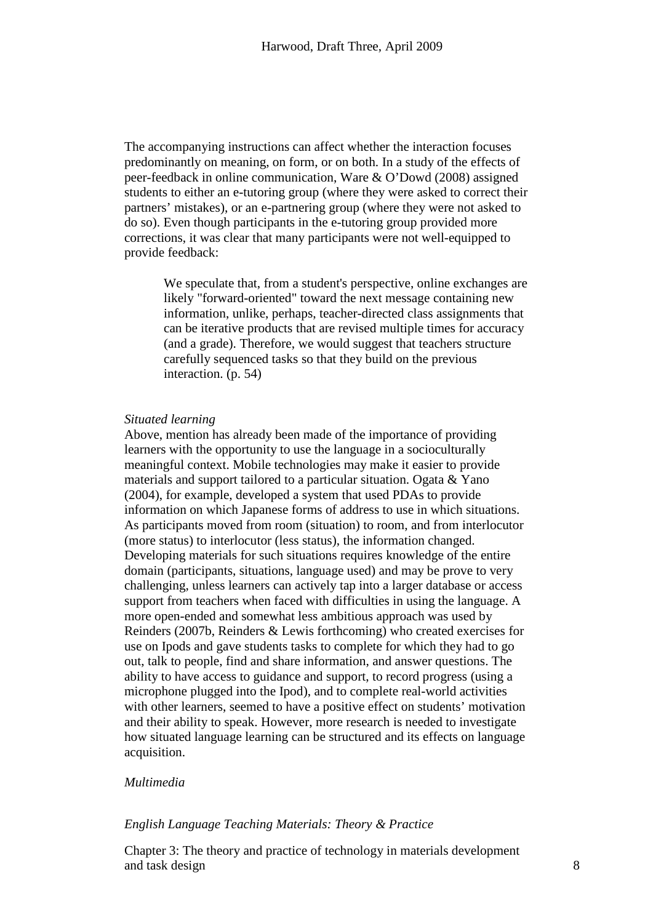The accompanying instructions can affect whether the interaction focuses predominantly on meaning, on form, or on both. In a study of the effects of peer-feedback in online communication, Ware & O'Dowd (2008) assigned students to either an e-tutoring group (where they were asked to correct their partners' mistakes), or an e-partnering group (where they were not asked to do so). Even though participants in the e-tutoring group provided more corrections, it was clear that many participants were not well-equipped to provide feedback:

We speculate that, from a student's perspective, online exchanges are likely "forward-oriented" toward the next message containing new information, unlike, perhaps, teacher-directed class assignments that can be iterative products that are revised multiple times for accuracy (and a grade). Therefore, we would suggest that teachers structure carefully sequenced tasks so that they build on the previous interaction. (p. 54)

### *Situated learning*

Above, mention has already been made of the importance of providing learners with the opportunity to use the language in a socioculturally meaningful context. Mobile technologies may make it easier to provide materials and support tailored to a particular situation. Ogata & Yano (2004), for example, developed a system that used PDAs to provide information on which Japanese forms of address to use in which situations. As participants moved from room (situation) to room, and from interlocutor (more status) to interlocutor (less status), the information changed. Developing materials for such situations requires knowledge of the entire domain (participants, situations, language used) and may be prove to very challenging, unless learners can actively tap into a larger database or access support from teachers when faced with difficulties in using the language. A more open-ended and somewhat less ambitious approach was used by Reinders (2007b, Reinders & Lewis forthcoming) who created exercises for use on Ipods and gave students tasks to complete for which they had to go out, talk to people, find and share information, and answer questions. The ability to have access to guidance and support, to record progress (using a microphone plugged into the Ipod), and to complete real-world activities with other learners, seemed to have a positive effect on students' motivation and their ability to speak. However, more research is needed to investigate how situated language learning can be structured and its effects on language acquisition.

# *Multimedia*

# *English Language Teaching Materials: Theory & Practice*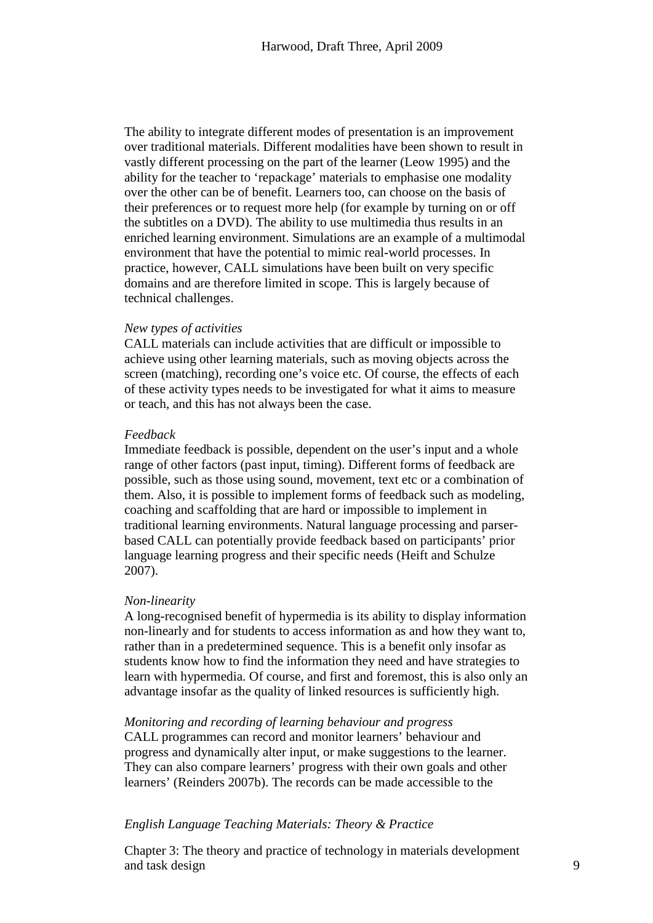The ability to integrate different modes of presentation is an improvement over traditional materials. Different modalities have been shown to result in vastly different processing on the part of the learner (Leow 1995) and the ability for the teacher to 'repackage' materials to emphasise one modality over the other can be of benefit. Learners too, can choose on the basis of their preferences or to request more help (for example by turning on or off the subtitles on a DVD). The ability to use multimedia thus results in an enriched learning environment. Simulations are an example of a multimodal environment that have the potential to mimic real-world processes. In practice, however, CALL simulations have been built on very specific domains and are therefore limited in scope. This is largely because of technical challenges.

## *New types of activities*

CALL materials can include activities that are difficult or impossible to achieve using other learning materials, such as moving objects across the screen (matching), recording one's voice etc. Of course, the effects of each of these activity types needs to be investigated for what it aims to measure or teach, and this has not always been the case.

#### *Feedback*

Immediate feedback is possible, dependent on the user's input and a whole range of other factors (past input, timing). Different forms of feedback are possible, such as those using sound, movement, text etc or a combination of them. Also, it is possible to implement forms of feedback such as modeling, coaching and scaffolding that are hard or impossible to implement in traditional learning environments. Natural language processing and parserbased CALL can potentially provide feedback based on participants' prior language learning progress and their specific needs (Heift and Schulze 2007).

#### *Non-linearity*

A long-recognised benefit of hypermedia is its ability to display information non-linearly and for students to access information as and how they want to, rather than in a predetermined sequence. This is a benefit only insofar as students know how to find the information they need and have strategies to learn with hypermedia. Of course, and first and foremost, this is also only an advantage insofar as the quality of linked resources is sufficiently high.

#### *Monitoring and recording of learning behaviour and progress*

CALL programmes can record and monitor learners' behaviour and progress and dynamically alter input, or make suggestions to the learner. They can also compare learners' progress with their own goals and other learners' (Reinders 2007b). The records can be made accessible to the

# *English Language Teaching Materials: Theory & Practice*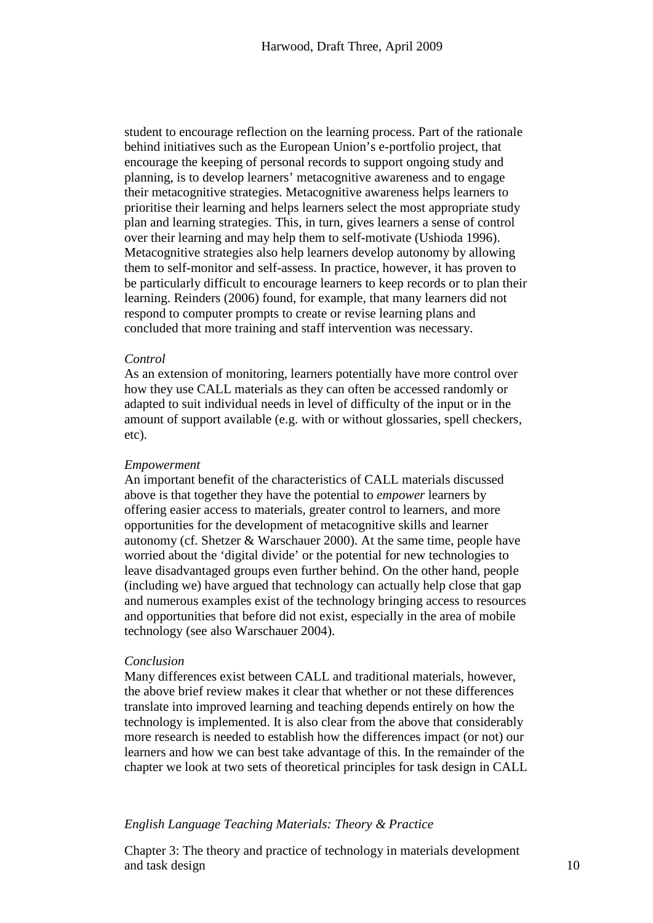student to encourage reflection on the learning process. Part of the rationale behind initiatives such as the European Union's e-portfolio project, that encourage the keeping of personal records to support ongoing study and planning, is to develop learners' metacognitive awareness and to engage their metacognitive strategies. Metacognitive awareness helps learners to prioritise their learning and helps learners select the most appropriate study plan and learning strategies. This, in turn, gives learners a sense of control over their learning and may help them to self-motivate (Ushioda 1996). Metacognitive strategies also help learners develop autonomy by allowing them to self-monitor and self-assess. In practice, however, it has proven to be particularly difficult to encourage learners to keep records or to plan their learning. Reinders (2006) found, for example, that many learners did not respond to computer prompts to create or revise learning plans and concluded that more training and staff intervention was necessary.

# *Control*

As an extension of monitoring, learners potentially have more control over how they use CALL materials as they can often be accessed randomly or adapted to suit individual needs in level of difficulty of the input or in the amount of support available (e.g. with or without glossaries, spell checkers, etc).

## *Empowerment*

An important benefit of the characteristics of CALL materials discussed above is that together they have the potential to *empower* learners by offering easier access to materials, greater control to learners, and more opportunities for the development of metacognitive skills and learner autonomy (cf. Shetzer & Warschauer 2000). At the same time, people have worried about the 'digital divide' or the potential for new technologies to leave disadvantaged groups even further behind. On the other hand, people (including we) have argued that technology can actually help close that gap and numerous examples exist of the technology bringing access to resources and opportunities that before did not exist, especially in the area of mobile technology (see also Warschauer 2004).

#### *Conclusion*

Many differences exist between CALL and traditional materials, however, the above brief review makes it clear that whether or not these differences translate into improved learning and teaching depends entirely on how the technology is implemented. It is also clear from the above that considerably more research is needed to establish how the differences impact (or not) our learners and how we can best take advantage of this. In the remainder of the chapter we look at two sets of theoretical principles for task design in CALL

# *English Language Teaching Materials: Theory & Practice*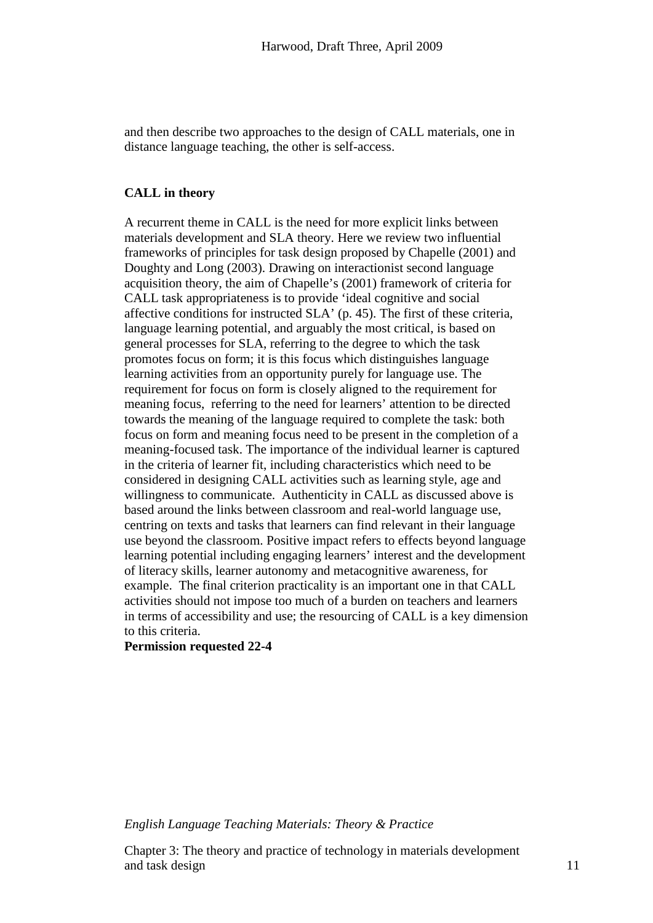and then describe two approaches to the design of CALL materials, one in distance language teaching, the other is self-access.

# **CALL in theory**

A recurrent theme in CALL is the need for more explicit links between materials development and SLA theory. Here we review two influential frameworks of principles for task design proposed by Chapelle (2001) and Doughty and Long (2003). Drawing on interactionist second language acquisition theory, the aim of Chapelle's (2001) framework of criteria for CALL task appropriateness is to provide 'ideal cognitive and social affective conditions for instructed SLA' (p. 45). The first of these criteria, language learning potential, and arguably the most critical, is based on general processes for SLA, referring to the degree to which the task promotes focus on form; it is this focus which distinguishes language learning activities from an opportunity purely for language use. The requirement for focus on form is closely aligned to the requirement for meaning focus, referring to the need for learners' attention to be directed towards the meaning of the language required to complete the task: both focus on form and meaning focus need to be present in the completion of a meaning-focused task. The importance of the individual learner is captured in the criteria of learner fit, including characteristics which need to be considered in designing CALL activities such as learning style, age and willingness to communicate. Authenticity in CALL as discussed above is based around the links between classroom and real-world language use, centring on texts and tasks that learners can find relevant in their language use beyond the classroom. Positive impact refers to effects beyond language learning potential including engaging learners' interest and the development of literacy skills, learner autonomy and metacognitive awareness, for example. The final criterion practicality is an important one in that CALL activities should not impose too much of a burden on teachers and learners in terms of accessibility and use; the resourcing of CALL is a key dimension to this criteria.

# **Permission requested 22-4**

*English Language Teaching Materials: Theory & Practice*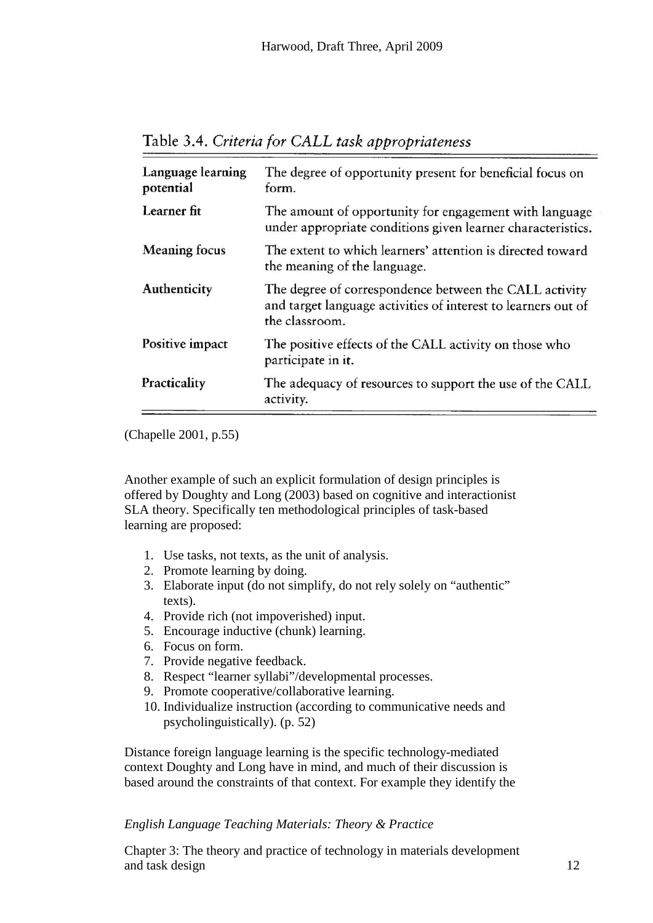| Language learning<br>potential | The degree of opportunity present for beneficial focus on<br>form. |
|--------------------------------|--------------------------------------------------------------------|
| Learner fit                    | The amount of opportunity for engagement with language             |

the meaning of the language.

under appropriate conditions given learner characteristics.

The extent to which learners' attention is directed toward

The degree of correspondence between the CALL activity and target language activities of interest to learners out of

The positive effects of the CALL activity on those who

The adequacy of resources to support the use of the CALL

Table 3.4. Criteria for CALL task appropriateness

the classroom.

participate in it.

activity.

(Chapelle 2001, p.55)

**Meaning focus** 

Authenticity

Positive impact

Practicality

Another example of such an explicit formulation of design principles is offered by Doughty and Long (2003) based on cognitive and interactionist SLA theory. Specifically ten methodological principles of task-based learning are proposed:

- 1. Use tasks, not texts, as the unit of analysis.
- 2. Promote learning by doing.
- 3. Elaborate input (do not simplify, do not rely solely on "authentic" texts).
- 4. Provide rich (not impoverished) input.
- 5. Encourage inductive (chunk) learning.
- 6. Focus on form.
- 7. Provide negative feedback.
- 8. Respect "learner syllabi"/developmental processes.
- 9. Promote cooperative/collaborative learning.
- 10. Individualize instruction (according to communicative needs and psycholinguistically). (p. 52)

Distance foreign language learning is the specific technology-mediated context Doughty and Long have in mind, and much of their discussion is based around the constraints of that context. For example they identify the

# *English Language Teaching Materials: Theory & Practice*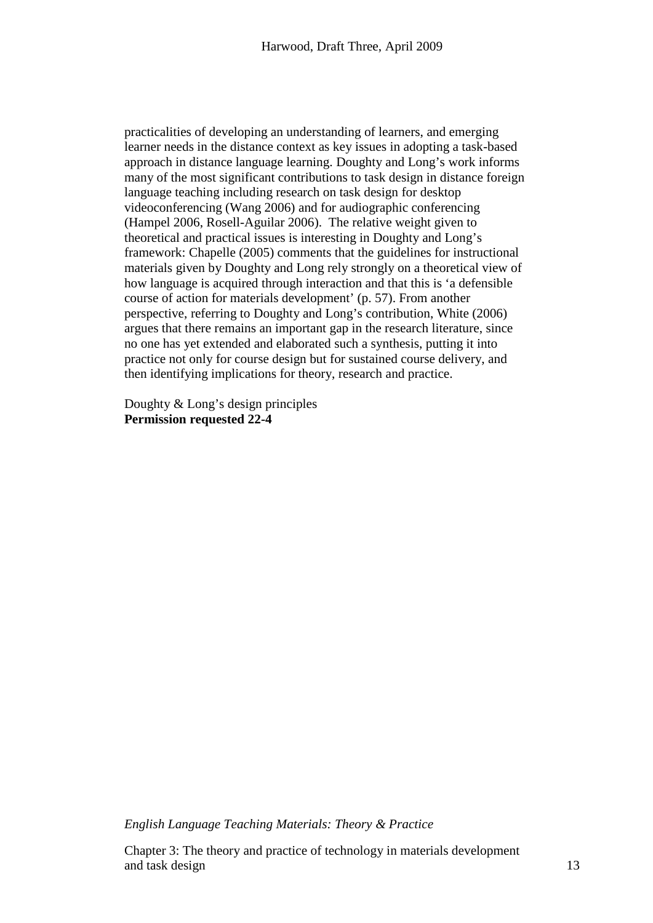practicalities of developing an understanding of learners, and emerging learner needs in the distance context as key issues in adopting a task-based approach in distance language learning. Doughty and Long's work informs many of the most significant contributions to task design in distance foreign language teaching including research on task design for desktop videoconferencing (Wang 2006) and for audiographic conferencing (Hampel 2006, Rosell-Aguilar 2006). The relative weight given to theoretical and practical issues is interesting in Doughty and Long's framework: Chapelle (2005) comments that the guidelines for instructional materials given by Doughty and Long rely strongly on a theoretical view of how language is acquired through interaction and that this is 'a defensible course of action for materials development' (p. 57). From another perspective, referring to Doughty and Long's contribution, White (2006) argues that there remains an important gap in the research literature, since no one has yet extended and elaborated such a synthesis, putting it into practice not only for course design but for sustained course delivery, and then identifying implications for theory, research and practice.

Doughty & Long's design principles **Permission requested 22-4**

*English Language Teaching Materials: Theory & Practice*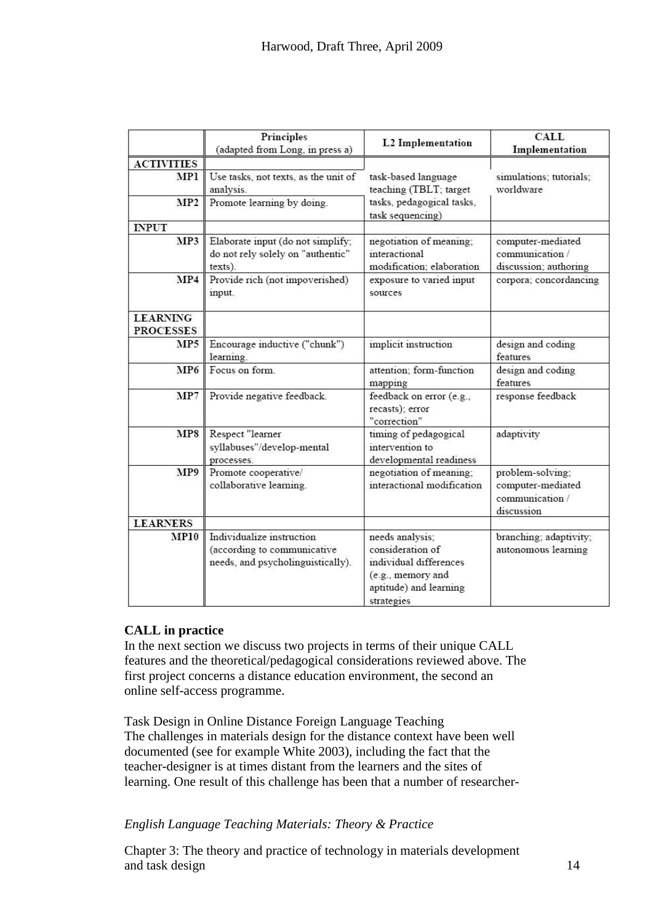|                                                    | Principles<br>(adapted from Long, in press a)                                                 | <b>L2</b> Implementation                                                                                                   | <b>CALL</b><br>Implementation                                          |
|----------------------------------------------------|-----------------------------------------------------------------------------------------------|----------------------------------------------------------------------------------------------------------------------------|------------------------------------------------------------------------|
| <b>ACTIVITIES</b><br><b>MP1</b><br>MP <sub>2</sub> | Use tasks, not texts, as the unit of<br>analysis.<br>Promote learning by doing.               | task-based language<br>teaching (TBLT; target<br>tasks, pedagogical tasks,<br>task sequencing)                             | simulations; tutorials;<br>worldware                                   |
| <b>INPUT</b>                                       |                                                                                               |                                                                                                                            |                                                                        |
| MP3                                                | Elaborate input (do not simplify;<br>do not rely solely on "authentic"<br>texts).             | negotiation of meaning;<br>interactional<br>modification; elaboration                                                      | computer-mediated<br>communication /<br>discussion; authoring          |
| MP4                                                | Provide rich (not impoverished)<br>input.                                                     | exposure to varied input<br>sources                                                                                        | corpora; concordancing                                                 |
| <b>LEARNING</b><br><b>PROCESSES</b>                |                                                                                               |                                                                                                                            |                                                                        |
| MP5                                                | Encourage inductive ("chunk")<br>learning.                                                    | implicit instruction                                                                                                       | design and coding<br>features                                          |
| MP <sub>6</sub>                                    | Focus on form.                                                                                | attention; form-function<br>mapping                                                                                        | design and coding<br>features                                          |
| MP7                                                | Provide negative feedback.                                                                    | feedback on error (e.g.,<br>recasts); error<br>"correction"                                                                | response feedback                                                      |
| MP8                                                | Respect "learner<br>syllabuses"/develop-mental<br>processes.                                  | timing of pedagogical<br>intervention to<br>developmental readiness                                                        | adaptivity                                                             |
| MP9                                                | Promote cooperative/<br>collaborative learning.                                               | negotiation of meaning;<br>interactional modification                                                                      | problem-solving;<br>computer-mediated<br>communication /<br>discussion |
| <b>LEARNERS</b>                                    |                                                                                               |                                                                                                                            |                                                                        |
| <b>MP10</b>                                        | Individualize instruction<br>(according to communicative<br>needs, and psycholinguistically). | needs analysis;<br>consideration of<br>individual differences<br>(e.g., memory and<br>aptitude) and learning<br>strategies | branching; adaptivity;<br>autonomous learning                          |

# **CALL in practice**

In the next section we discuss two projects in terms of their unique CALL features and the theoretical/pedagogical considerations reviewed above. The first project concerns a distance education environment, the second an online self-access programme.

Task Design in Online Distance Foreign Language Teaching The challenges in materials design for the distance context have been well documented (see for example White 2003), including the fact that the teacher-designer is at times distant from the learners and the sites of learning. One result of this challenge has been that a number of researcher-

# *English Language Teaching Materials: Theory & Practice*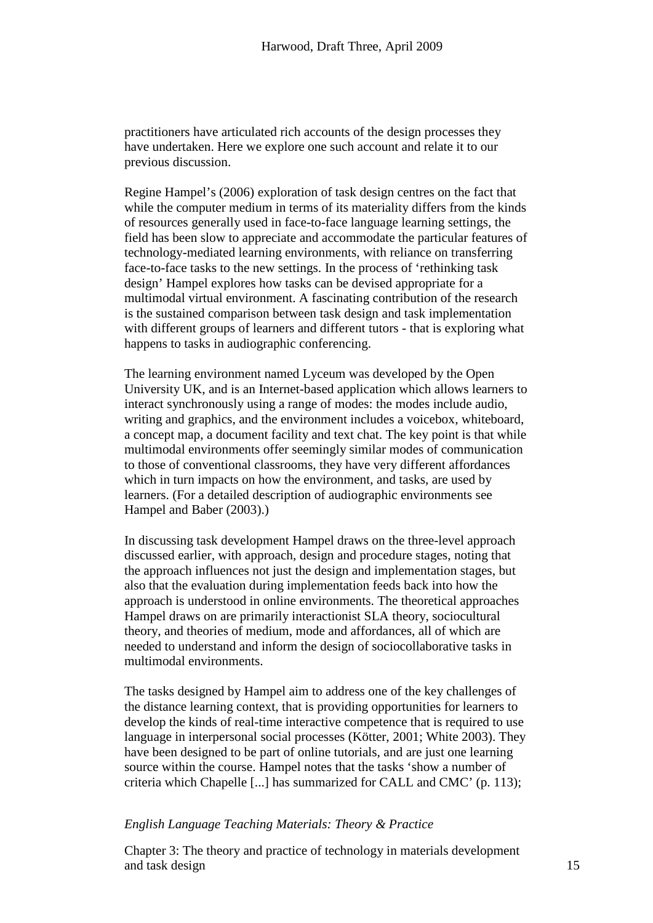practitioners have articulated rich accounts of the design processes they have undertaken. Here we explore one such account and relate it to our previous discussion.

Regine Hampel's (2006) exploration of task design centres on the fact that while the computer medium in terms of its materiality differs from the kinds of resources generally used in face-to-face language learning settings, the field has been slow to appreciate and accommodate the particular features of technology-mediated learning environments, with reliance on transferring face-to-face tasks to the new settings. In the process of 'rethinking task design' Hampel explores how tasks can be devised appropriate for a multimodal virtual environment. A fascinating contribution of the research is the sustained comparison between task design and task implementation with different groups of learners and different tutors - that is exploring what happens to tasks in audiographic conferencing.

The learning environment named Lyceum was developed by the Open University UK, and is an Internet-based application which allows learners to interact synchronously using a range of modes: the modes include audio, writing and graphics, and the environment includes a voicebox, whiteboard, a concept map, a document facility and text chat. The key point is that while multimodal environments offer seemingly similar modes of communication to those of conventional classrooms, they have very different affordances which in turn impacts on how the environment, and tasks, are used by learners. (For a detailed description of audiographic environments see Hampel and Baber (2003).)

In discussing task development Hampel draws on the three-level approach discussed earlier, with approach, design and procedure stages, noting that the approach influences not just the design and implementation stages, but also that the evaluation during implementation feeds back into how the approach is understood in online environments. The theoretical approaches Hampel draws on are primarily interactionist SLA theory, sociocultural theory, and theories of medium, mode and affordances, all of which are needed to understand and inform the design of sociocollaborative tasks in multimodal environments.

The tasks designed by Hampel aim to address one of the key challenges of the distance learning context, that is providing opportunities for learners to develop the kinds of real-time interactive competence that is required to use language in interpersonal social processes (Kötter, 2001; White 2003). They have been designed to be part of online tutorials, and are just one learning source within the course. Hampel notes that the tasks 'show a number of criteria which Chapelle [...] has summarized for CALL and CMC' (p. 113);

# *English Language Teaching Materials: Theory & Practice*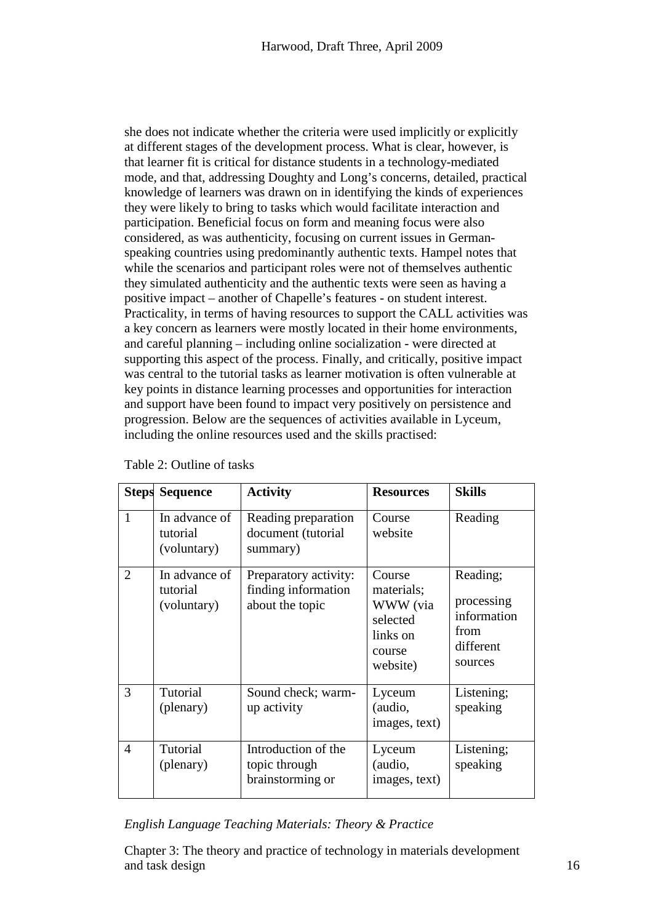she does not indicate whether the criteria were used implicitly or explicitly at different stages of the development process. What is clear, however, is that learner fit is critical for distance students in a technology-mediated mode, and that, addressing Doughty and Long's concerns, detailed, practical knowledge of learners was drawn on in identifying the kinds of experiences they were likely to bring to tasks which would facilitate interaction and participation. Beneficial focus on form and meaning focus were also considered, as was authenticity, focusing on current issues in Germanspeaking countries using predominantly authentic texts. Hampel notes that while the scenarios and participant roles were not of themselves authentic they simulated authenticity and the authentic texts were seen as having a positive impact – another of Chapelle's features - on student interest. Practicality, in terms of having resources to support the CALL activities was a key concern as learners were mostly located in their home environments, and careful planning – including online socialization - were directed at supporting this aspect of the process. Finally, and critically, positive impact was central to the tutorial tasks as learner motivation is often vulnerable at key points in distance learning processes and opportunities for interaction and support have been found to impact very positively on persistence and progression. Below are the sequences of activities available in Lyceum, including the online resources used and the skills practised:

|                | <b>Steps Sequence</b>                    | <b>Activity</b>                                                 | <b>Resources</b>                                                               | <b>Skills</b>                                                         |
|----------------|------------------------------------------|-----------------------------------------------------------------|--------------------------------------------------------------------------------|-----------------------------------------------------------------------|
| $\mathbf{1}$   | In advance of<br>tutorial<br>(voluntary) | Reading preparation<br>document (tutorial<br>summary)           | Course<br>website                                                              | Reading                                                               |
| 2              | In advance of<br>tutorial<br>(voluntary) | Preparatory activity:<br>finding information<br>about the topic | Course<br>materials;<br>WWW (via<br>selected<br>links on<br>course<br>website) | Reading;<br>processing<br>information<br>from<br>different<br>sources |
| 3              | Tutorial<br>(plenary)                    | Sound check; warm-<br>up activity                               | Lyceum<br>(audio,<br>images, text)                                             | Listening;<br>speaking                                                |
| $\overline{4}$ | Tutorial<br>(plenary)                    | Introduction of the<br>topic through<br>brainstorming or        | Lyceum<br>(audio,<br>images, text)                                             | Listening;<br>speaking                                                |

| Table 2: Outline of tasks |  |  |
|---------------------------|--|--|
|---------------------------|--|--|

*English Language Teaching Materials: Theory & Practice*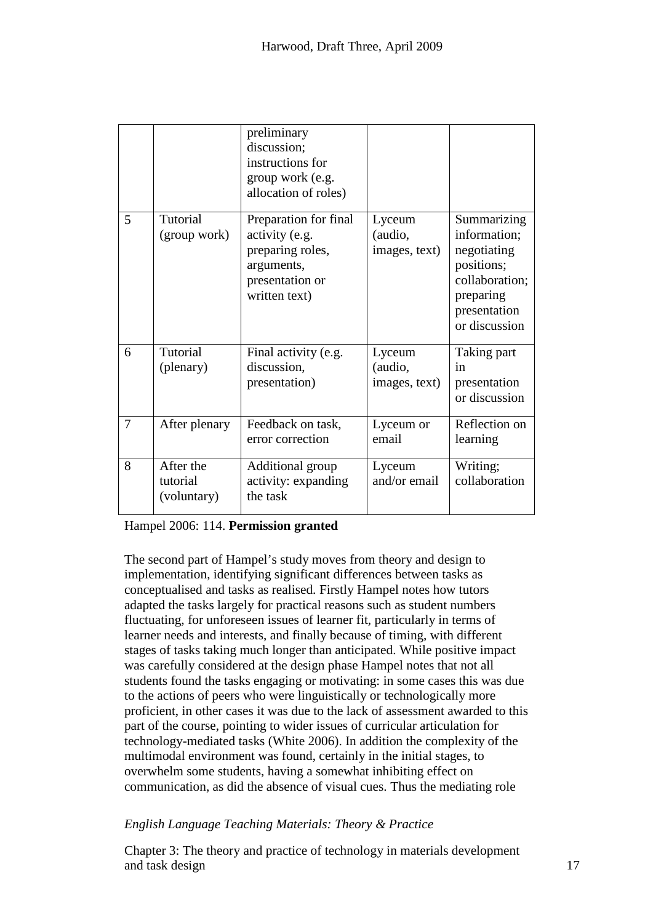|   |                                      | preliminary<br>discussion;<br>instructions for<br>group work (e.g.<br>allocation of roles)                    |                                    |                                                                                                                          |
|---|--------------------------------------|---------------------------------------------------------------------------------------------------------------|------------------------------------|--------------------------------------------------------------------------------------------------------------------------|
| 5 | Tutorial<br>(group work)             | Preparation for final<br>activity (e.g.<br>preparing roles,<br>arguments,<br>presentation or<br>written text) | Lyceum<br>(audio,<br>images, text) | Summarizing<br>information;<br>negotiating<br>positions;<br>collaboration;<br>preparing<br>presentation<br>or discussion |
| 6 | Tutorial<br>(plenary)                | Final activity (e.g.<br>discussion,<br>presentation)                                                          | Lyceum<br>(audio,<br>images, text) | Taking part<br>1n<br>presentation<br>or discussion                                                                       |
| 7 | After plenary                        | Feedback on task,<br>error correction                                                                         | Lyceum or<br>email                 | Reflection on<br>learning                                                                                                |
| 8 | After the<br>tutorial<br>(voluntary) | Additional group<br>activity: expanding<br>the task                                                           | Lyceum<br>and/or email             | Writing;<br>collaboration                                                                                                |

# Hampel 2006: 114. **Permission granted**

The second part of Hampel's study moves from theory and design to implementation, identifying significant differences between tasks as conceptualised and tasks as realised. Firstly Hampel notes how tutors adapted the tasks largely for practical reasons such as student numbers fluctuating, for unforeseen issues of learner fit, particularly in terms of learner needs and interests, and finally because of timing, with different stages of tasks taking much longer than anticipated. While positive impact was carefully considered at the design phase Hampel notes that not all students found the tasks engaging or motivating: in some cases this was due to the actions of peers who were linguistically or technologically more proficient, in other cases it was due to the lack of assessment awarded to this part of the course, pointing to wider issues of curricular articulation for technology-mediated tasks (White 2006). In addition the complexity of the multimodal environment was found, certainly in the initial stages, to overwhelm some students, having a somewhat inhibiting effect on communication, as did the absence of visual cues. Thus the mediating role

# *English Language Teaching Materials: Theory & Practice*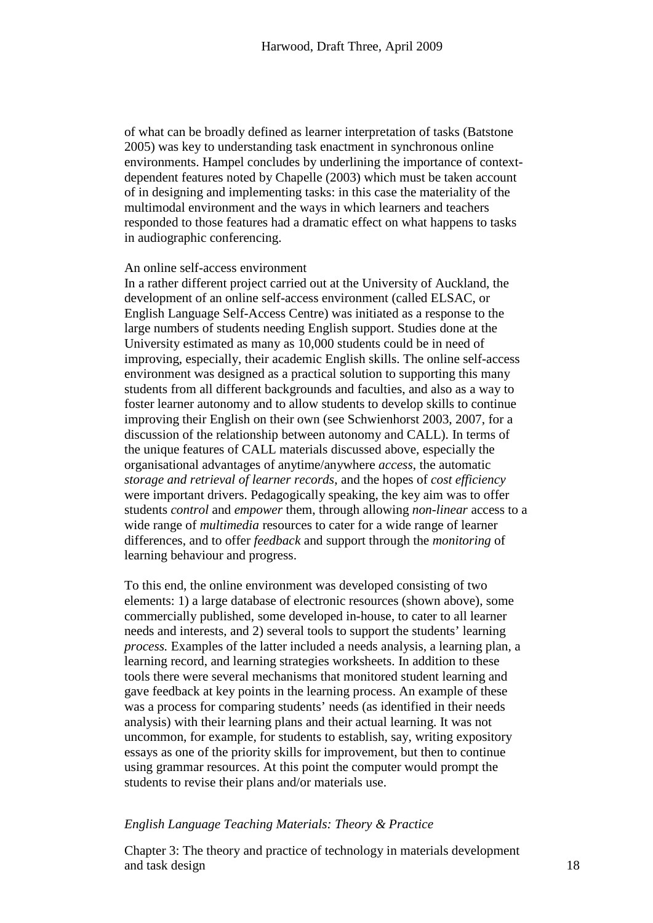of what can be broadly defined as learner interpretation of tasks (Batstone 2005) was key to understanding task enactment in synchronous online environments. Hampel concludes by underlining the importance of contextdependent features noted by Chapelle (2003) which must be taken account of in designing and implementing tasks: in this case the materiality of the multimodal environment and the ways in which learners and teachers responded to those features had a dramatic effect on what happens to tasks in audiographic conferencing.

## An online self-access environment

In a rather different project carried out at the University of Auckland, the development of an online self-access environment (called ELSAC, or English Language Self-Access Centre) was initiated as a response to the large numbers of students needing English support. Studies done at the University estimated as many as 10,000 students could be in need of improving, especially, their academic English skills. The online self-access environment was designed as a practical solution to supporting this many students from all different backgrounds and faculties, and also as a way to foster learner autonomy and to allow students to develop skills to continue improving their English on their own (see Schwienhorst 2003, 2007, for a discussion of the relationship between autonomy and CALL). In terms of the unique features of CALL materials discussed above, especially the organisational advantages of anytime/anywhere *access*, the automatic *storage and retrieval of learner records*, and the hopes of *cost efficiency* were important drivers. Pedagogically speaking, the key aim was to offer students *control* and *empower* them, through allowing *non-linear* access to a wide range of *multimedia* resources to cater for a wide range of learner differences, and to offer *feedback* and support through the *monitoring* of learning behaviour and progress.

To this end, the online environment was developed consisting of two elements: 1) a large database of electronic resources (shown above), some commercially published, some developed in-house, to cater to all learner needs and interests, and 2) several tools to support the students' learning *process.* Examples of the latter included a needs analysis, a learning plan, a learning record, and learning strategies worksheets. In addition to these tools there were several mechanisms that monitored student learning and gave feedback at key points in the learning process. An example of these was a process for comparing students' needs (as identified in their needs analysis) with their learning plans and their actual learning. It was not uncommon, for example, for students to establish, say, writing expository essays as one of the priority skills for improvement, but then to continue using grammar resources. At this point the computer would prompt the students to revise their plans and/or materials use.

# *English Language Teaching Materials: Theory & Practice*

Chapter 3: The theory and practice of technology in materials development and task design and task design and task design and task design and task design and task design and task design  $\sim 18$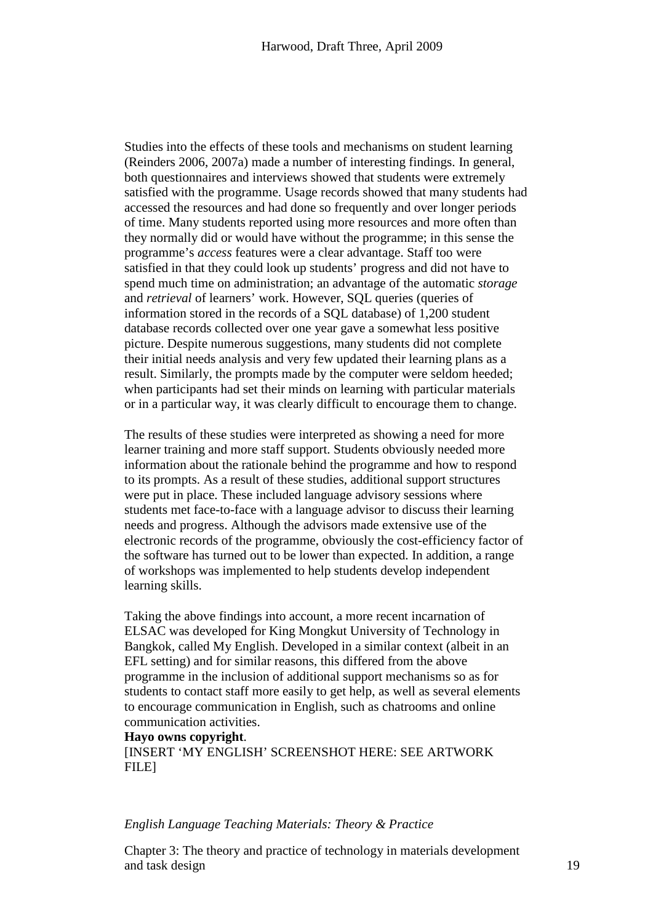Studies into the effects of these tools and mechanisms on student learning (Reinders 2006, 2007a) made a number of interesting findings. In general, both questionnaires and interviews showed that students were extremely satisfied with the programme. Usage records showed that many students had accessed the resources and had done so frequently and over longer periods of time. Many students reported using more resources and more often than they normally did or would have without the programme; in this sense the programme's *access* features were a clear advantage. Staff too were satisfied in that they could look up students' progress and did not have to spend much time on administration; an advantage of the automatic *storage*  and *retrieval* of learners' work. However, SQL queries (queries of information stored in the records of a SQL database) of 1,200 student database records collected over one year gave a somewhat less positive picture. Despite numerous suggestions, many students did not complete their initial needs analysis and very few updated their learning plans as a result. Similarly, the prompts made by the computer were seldom heeded; when participants had set their minds on learning with particular materials or in a particular way, it was clearly difficult to encourage them to change.

The results of these studies were interpreted as showing a need for more learner training and more staff support. Students obviously needed more information about the rationale behind the programme and how to respond to its prompts. As a result of these studies, additional support structures were put in place. These included language advisory sessions where students met face-to-face with a language advisor to discuss their learning needs and progress. Although the advisors made extensive use of the electronic records of the programme, obviously the cost-efficiency factor of the software has turned out to be lower than expected. In addition, a range of workshops was implemented to help students develop independent learning skills.

Taking the above findings into account, a more recent incarnation of ELSAC was developed for King Mongkut University of Technology in Bangkok, called My English. Developed in a similar context (albeit in an EFL setting) and for similar reasons, this differed from the above programme in the inclusion of additional support mechanisms so as for students to contact staff more easily to get help, as well as several elements to encourage communication in English, such as chatrooms and online communication activities.

## **Hayo owns copyright**.

[INSERT 'MY ENGLISH' SCREENSHOT HERE: SEE ARTWORK FILE]

# *English Language Teaching Materials: Theory & Practice*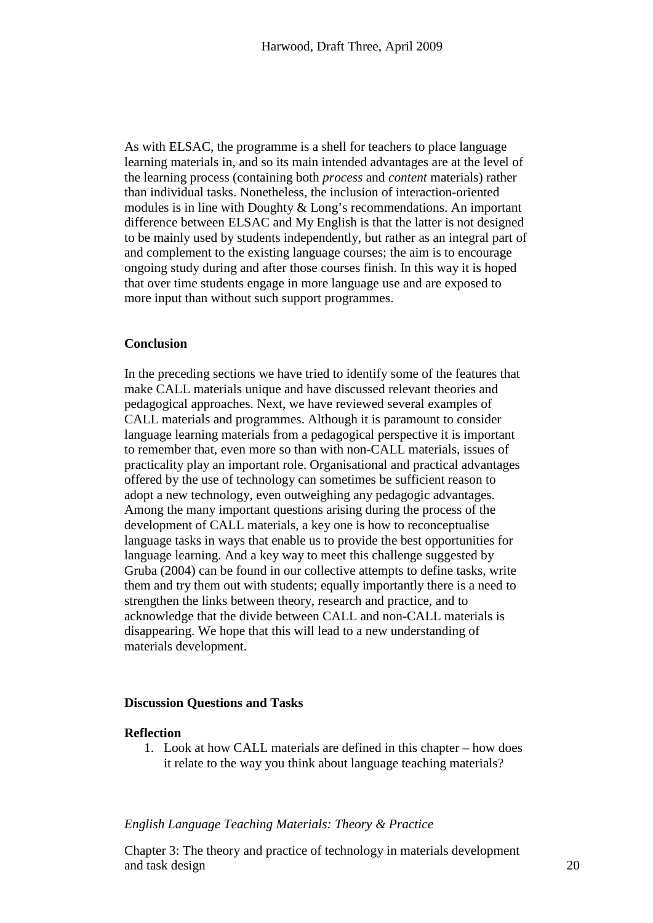As with ELSAC, the programme is a shell for teachers to place language learning materials in, and so its main intended advantages are at the level of the learning process (containing both *process* and *content* materials) rather than individual tasks. Nonetheless, the inclusion of interaction-oriented modules is in line with Doughty & Long's recommendations. An important difference between ELSAC and My English is that the latter is not designed to be mainly used by students independently, but rather as an integral part of and complement to the existing language courses; the aim is to encourage ongoing study during and after those courses finish. In this way it is hoped that over time students engage in more language use and are exposed to more input than without such support programmes.

# **Conclusion**

In the preceding sections we have tried to identify some of the features that make CALL materials unique and have discussed relevant theories and pedagogical approaches. Next, we have reviewed several examples of CALL materials and programmes. Although it is paramount to consider language learning materials from a pedagogical perspective it is important to remember that, even more so than with non-CALL materials, issues of practicality play an important role. Organisational and practical advantages offered by the use of technology can sometimes be sufficient reason to adopt a new technology, even outweighing any pedagogic advantages. Among the many important questions arising during the process of the development of CALL materials, a key one is how to reconceptualise language tasks in ways that enable us to provide the best opportunities for language learning. And a key way to meet this challenge suggested by Gruba (2004) can be found in our collective attempts to define tasks, write them and try them out with students; equally importantly there is a need to strengthen the links between theory, research and practice, and to acknowledge that the divide between CALL and non-CALL materials is disappearing. We hope that this will lead to a new understanding of materials development.

# **Discussion Questions and Tasks**

#### **Reflection**

1. Look at how CALL materials are defined in this chapter – how does it relate to the way you think about language teaching materials?

## *English Language Teaching Materials: Theory & Practice*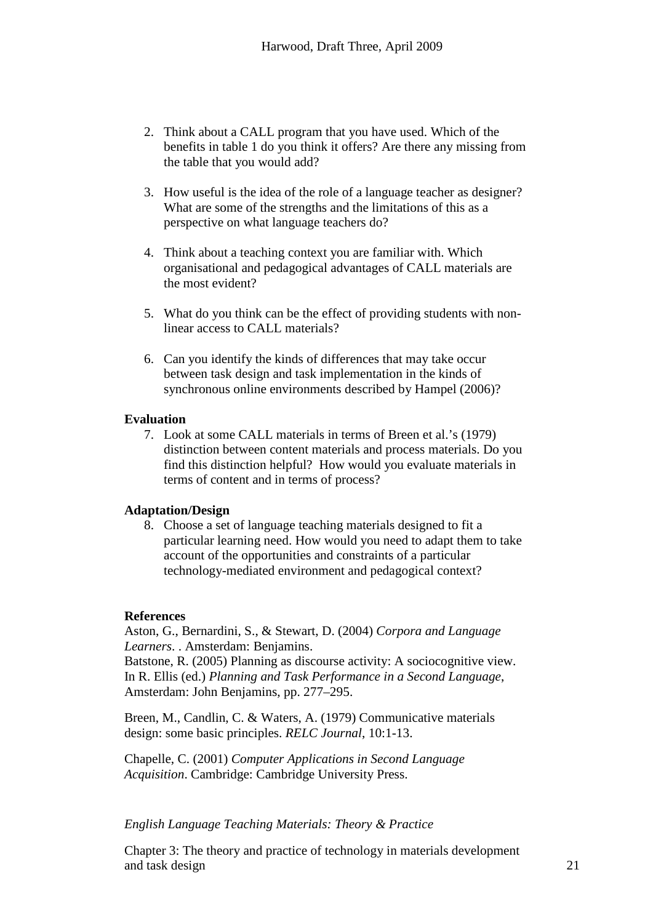- 2. Think about a CALL program that you have used. Which of the benefits in table 1 do you think it offers? Are there any missing from the table that you would add?
- 3. How useful is the idea of the role of a language teacher as designer? What are some of the strengths and the limitations of this as a perspective on what language teachers do?
- 4. Think about a teaching context you are familiar with. Which organisational and pedagogical advantages of CALL materials are the most evident?
- 5. What do you think can be the effect of providing students with nonlinear access to CALL materials?
- 6. Can you identify the kinds of differences that may take occur between task design and task implementation in the kinds of synchronous online environments described by Hampel (2006)?

# **Evaluation**

7. Look at some CALL materials in terms of Breen et al.'s (1979) distinction between content materials and process materials. Do you find this distinction helpful? How would you evaluate materials in terms of content and in terms of process?

# **Adaptation/Design**

8. Choose a set of language teaching materials designed to fit a particular learning need. How would you need to adapt them to take account of the opportunities and constraints of a particular technology-mediated environment and pedagogical context?

## **References**

Aston, G., Bernardini, S., & Stewart, D. (2004) *Corpora and Language Learners*. . Amsterdam: Benjamins.

Batstone, R. (2005) Planning as discourse activity: A sociocognitive view. In R. Ellis (ed.) *[Planning and Task Performance in a Second Language](http://www.benjamins.nl/cgi-bin/t_bookview.cgi?bookid=LL%26LT%2011)*, Amsterdam: John Benjamins, pp. 277–295.

Breen, M., Candlin, C. & Waters, A. (1979) Communicative materials design: some basic principles. *RELC Journal*, 10:1-13.

Chapelle, C. (2001) *Computer Applications in Second Language Acquisition*. Cambridge: Cambridge University Press.

# *English Language Teaching Materials: Theory & Practice*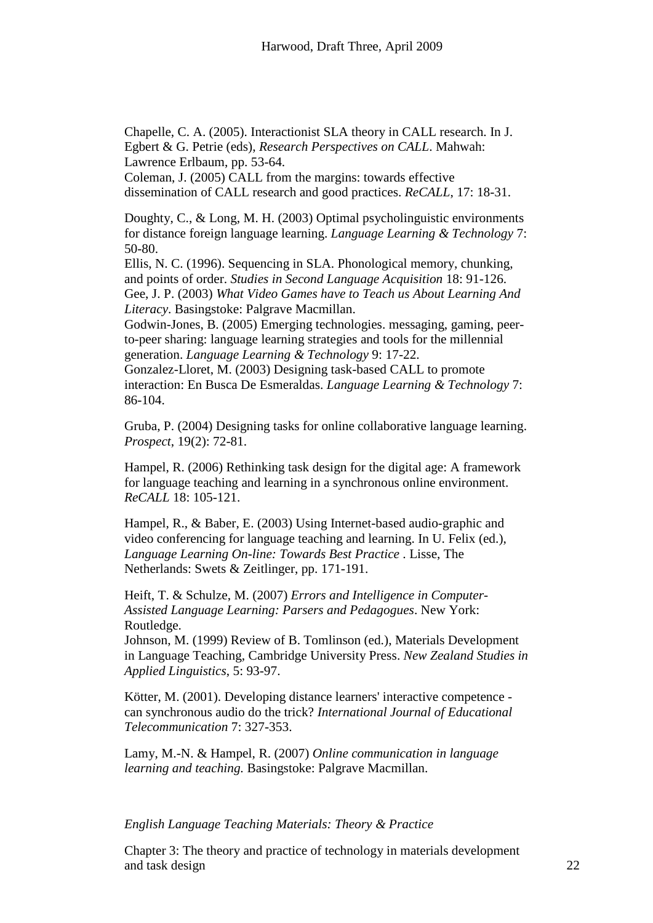Chapelle, C. A. (2005). Interactionist SLA theory in CALL research. In J. Egbert & G. Petrie (eds), *Research Perspectives on CALL*. Mahwah: Lawrence Erlbaum, pp. 53-64.

Coleman, J. (2005) CALL from the margins: towards effective dissemination of CALL research and good practices. *ReCALL*, 17: 18-31.

Doughty, C., & Long, M. H. (2003) Optimal psycholinguistic environments for distance foreign language learning. *Language Learning & Technology* 7: 50-80.

Ellis, N. C. (1996). Sequencing in SLA. Phonological memory, chunking, and points of order. *Studies in Second Language Acquisition* 18: 91-126. Gee, J. P. (2003) *What Video Games have to Teach us About Learning And Literacy*. Basingstoke: Palgrave Macmillan.

Godwin-Jones, B. (2005) Emerging technologies. messaging, gaming, peerto-peer sharing: language learning strategies and tools for the millennial generation. *Language Learning & Technology* 9: 17-22.

Gonzalez-Lloret, M. (2003) Designing task-based CALL to promote interaction: En Busca De Esmeraldas. *Language Learning & Technology* 7: 86-104.

Gruba, P. (2004) Designing tasks for online collaborative language learning. *Prospect*, 19(2): 72-81.

Hampel, R. (2006) Rethinking task design for the digital age: A framework for language teaching and learning in a synchronous online environment. *ReCALL* 18: 105-121.

Hampel, R., & Baber, E. (2003) Using Internet-based audio-graphic and video conferencing for language teaching and learning. In U. Felix (ed.), *Language Learning On-line: Towards Best Practice* . Lisse, The Netherlands: Swets & Zeitlinger, pp. 171-191.

Heift, T. & Schulze, M. (2007) *Errors and Intelligence in Computer-Assisted Language Learning: Parsers and Pedagogues*. New York: Routledge.

Johnson, M. (1999) Review of B. Tomlinson (ed.), Materials Development in Language Teaching, Cambridge University Press. *New Zealand Studies in Applied Linguistics*, 5: 93-97.

Kötter, M. (2001). Developing distance learners' interactive competence can synchronous audio do the trick? *International Journal of Educational Telecommunication* 7: 327-353.

Lamy, M.-N. & Hampel, R. (2007) *Online communication in language learning and teaching.* Basingstoke: Palgrave Macmillan.

# *English Language Teaching Materials: Theory & Practice*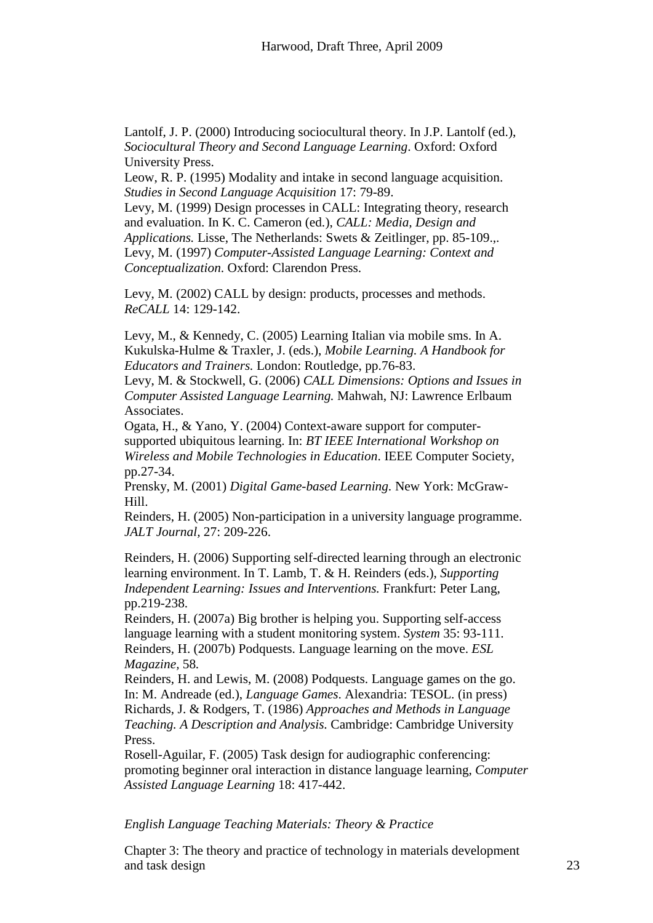Lantolf, J. P. (2000) Introducing sociocultural theory. In J.P. Lantolf (ed.), *Sociocultural Theory and Second Language Learning*. Oxford: Oxford University Press.

Leow, R. P. (1995) Modality and intake in second language acquisition. *Studies in Second Language Acquisition* 17: 79-89.

Levy, M. (1999) Design processes in CALL: Integrating theory, research and evaluation. In K. C. Cameron (ed.), *CALL: Media, Design and Applications.* Lisse, The Netherlands: Swets & Zeitlinger, pp. 85-109.,. Levy, M. (1997) *Computer-Assisted Language Learning: Context and Conceptualization*. Oxford: Clarendon Press.

Levy, M. (2002) CALL by design: products, processes and methods. *ReCALL* 14: 129-142.

Levy, M., & Kennedy, C. (2005) Learning Italian via mobile sms. In A. Kukulska-Hulme & Traxler, J. (eds.), *Mobile Learning. A Handbook for Educators and Trainers.* London: Routledge, pp.76-83.

Levy, M. & Stockwell, G. (2006) *CALL Dimensions: Options and Issues in Computer Assisted Language Learning.* Mahwah, NJ: Lawrence Erlbaum Associates.

Ogata, H., & Yano, Y. (2004) Context-aware support for computersupported ubiquitous learning. In: *BT IEEE International Workshop on Wireless and Mobile Technologies in Education*. IEEE Computer Society, pp.27-34.

Prensky, M. (2001) *Digital Game-based Learning.* New York: McGraw-Hill.

Reinders, H. (2005) Non-participation in a university language programme. *JALT Journal,* 27: 209-226.

Reinders, H. (2006) Supporting self-directed learning through an electronic learning environment. In T. Lamb, T. & H. Reinders (eds.), *Supporting Independent Learning: Issues and Interventions.* Frankfurt: Peter Lang, pp.219-238.

Reinders, H. (2007a) Big brother is helping you. Supporting self-access language learning with a student monitoring system. *System* 35: 93-111. Reinders, H. (2007b) Podquests. Language learning on the move. *ESL Magazine,* 58*.*

Reinders, H. and Lewis, M. (2008) Podquests. Language games on the go. In: M. Andreade (ed.), *Language Games*. Alexandria: TESOL. (in press) Richards, J. & Rodgers, T. (1986) *Approaches and Methods in Language Teaching. A Description and Analysis.* Cambridge: Cambridge University Press.

Rosell-Aguilar, F. (2005) Task design for audiographic conferencing: promoting beginner oral interaction in distance language learning, *Computer Assisted Language Learning* 18: 417-442.

# *English Language Teaching Materials: Theory & Practice*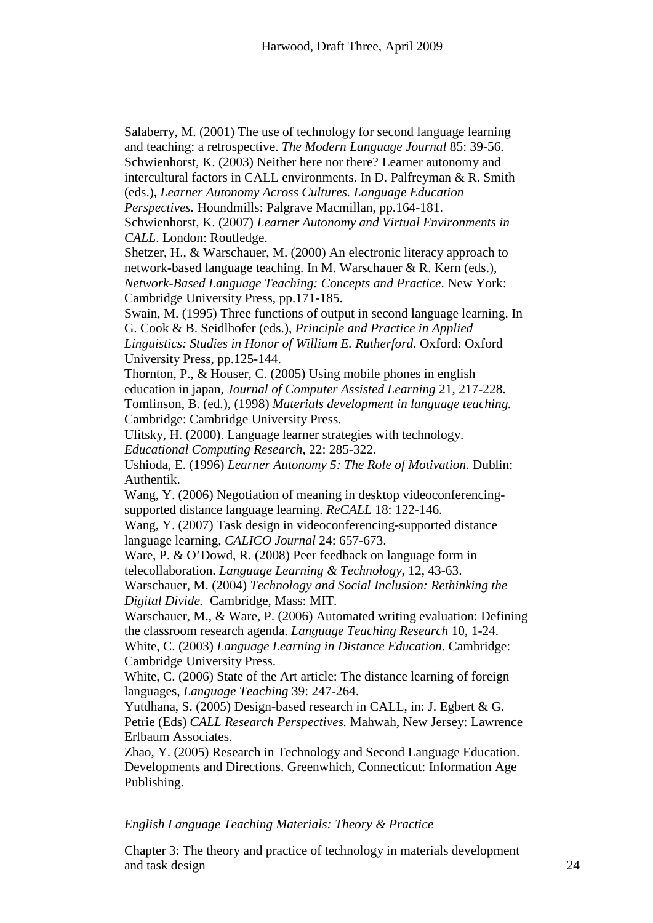Salaberry, M. (2001) The use of technology for second language learning and teaching: a retrospective. *The Modern Language Journal* 85: 39-56. Schwienhorst, K. (2003) Neither here nor there? Learner autonomy and intercultural factors in CALL environments. In D. Palfreyman & R. Smith (eds.), *Learner Autonomy Across Cultures. Language Education Perspectives.* Houndmills: Palgrave Macmillan, pp.164-181. Schwienhorst, K. (2007) *Learner Autonomy and Virtual Environments in CALL*. London: Routledge. Shetzer, H., & Warschauer, M. (2000) [An electronic literacy approach to](http://www.newtierra.com/nblt.html)  [network-based language teaching.](http://www.newtierra.com/nblt.html) In M. Warschauer & R. Kern (eds.), *Network-Based Language Teaching: Concepts and Practice*. New York: Cambridge University Press, pp.171-185. Swain, M. (1995) Three functions of output in second language learning. In G. Cook & B. Seidlhofer (eds.), *Principle and Practice in Applied Linguistics: Studies in Honor of William E. Rutherford*. Oxford: Oxford University Press, pp.125-144. Thornton, P., & Houser, C. (2005) Using mobile phones in english education in japan, *Journal of Computer Assisted Learning* 21, 217-228. Tomlinson, B. (ed.), (1998) *Materials development in language teaching.*  Cambridge: Cambridge University Press. Ulitsky, H. (2000). Language learner strategies with technology. *Educational Computing Research*, 22: 285-322. Ushioda, E. (1996) *Learner Autonomy 5: The Role of Motivation.* Dublin: Authentik. Wang, Y. (2006) Negotiation of meaning in desktop videoconferencingsupported distance language learning. *ReCALL* 18: 122-146. Wang, Y. (2007) Task design in videoconferencing-supported distance language learning, *CALICO Journal* 24: 657-673. Ware, P. & O'Dowd, R. (2008) Peer feedback on language form in telecollaboration. *Language Learning & Technology*, 12, 43-63. Warschauer, M. (2004) *Technology and Social Inclusion: Rethinking the Digital Divide.* Cambridge, Mass: MIT. Warschauer, M., & Ware, P. (2006) [Automated writing evaluation:](http://www.gse.uci.edu/person/markw/awe.pdf) Defining the classroom research agenda. *Language Teaching Research* 10, 1-24. White, C. (2003) *Language Learning in Distance Education*. Cambridge: Cambridge University Press. White, C. (2006) State of the Art article: The distance learning of foreign languages, *Language Teaching* 39: 247-264. Yutdhana, S. (2005) Design-based research in CALL, in: J. Egbert & G. Petrie (Eds) *CALL Research Perspectives.* Mahwah, New Jersey: Lawrence Erlbaum Associates.

Zhao, Y. (2005) Research in Technology and Second Language Education. Developments and Directions. Greenwhich, Connecticut: Information Age Publishing.

*English Language Teaching Materials: Theory & Practice*